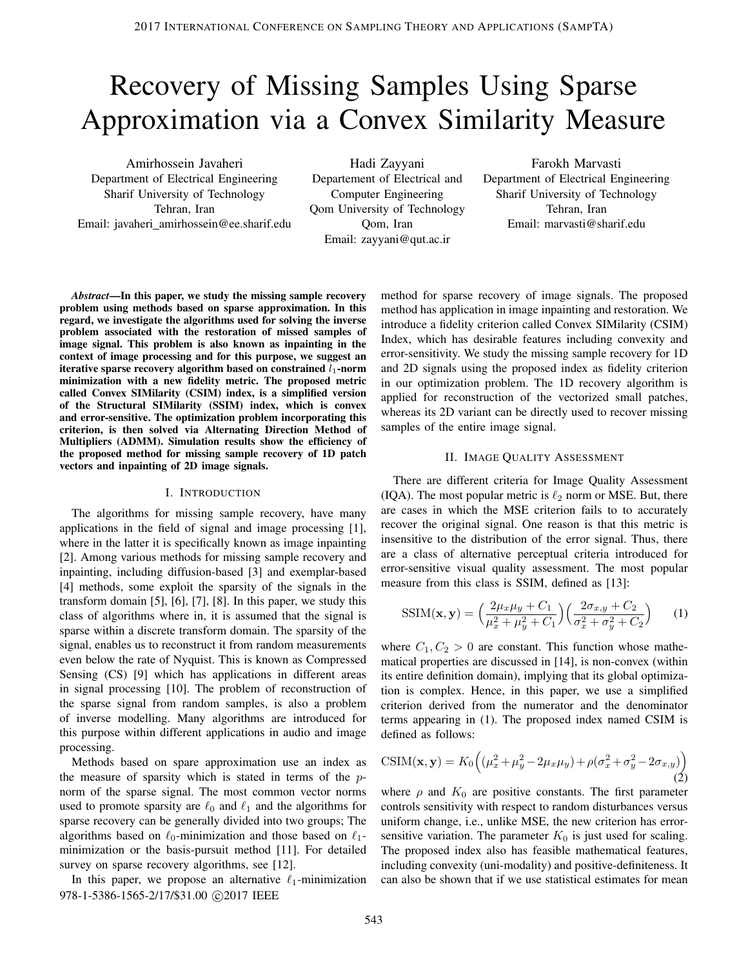# Recovery of Missing Samples Using Sparse Approximation via a Convex Similarity Measure

Amirhossein Javaheri Department of Electrical Engineering Sharif University of Technology Tehran, Iran Email: javaheri amirhossein@ee.sharif.edu

Hadi Zayyani Departement of Electrical and Computer Engineering Qom University of Technology Qom, Iran Email: zayyani@qut.ac.ir

Farokh Marvasti Department of Electrical Engineering Sharif University of Technology Tehran, Iran Email: marvasti@sharif.edu

*Abstract*—In this paper, we study the missing sample recovery problem using methods based on sparse approximation. In this regard, we investigate the algorithms used for solving the inverse problem associated with the restoration of missed samples of image signal. This problem is also known as inpainting in the context of image processing and for this purpose, we suggest an iterative sparse recovery algorithm based on constrained  $l_1$ -norm minimization with a new fidelity metric. The proposed metric called Convex SIMilarity (CSIM) index, is a simplified version of the Structural SIMilarity (SSIM) index, which is convex and error-sensitive. The optimization problem incorporating this criterion, is then solved via Alternating Direction Method of Multipliers (ADMM). Simulation results show the efficiency of the proposed method for missing sample recovery of 1D patch vectors and inpainting of 2D image signals.

#### I. INTRODUCTION

The algorithms for missing sample recovery, have many applications in the field of signal and image processing [1], where in the latter it is specifically known as image inpainting [2]. Among various methods for missing sample recovery and inpainting, including diffusion-based [3] and exemplar-based [4] methods, some exploit the sparsity of the signals in the transform domain [5], [6], [7], [8]. In this paper, we study this class of algorithms where in, it is assumed that the signal is sparse within a discrete transform domain. The sparsity of the signal, enables us to reconstruct it from random measurements even below the rate of Nyquist. This is known as Compressed Sensing (CS) [9] which has applications in different areas in signal processing [10]. The problem of reconstruction of the sparse signal from random samples, is also a problem of inverse modelling. Many algorithms are introduced for this purpose within different applications in audio and image processing.

Methods based on spare approximation use an index as the measure of sparsity which is stated in terms of the  $p$ norm of the sparse signal. The most common vector norms used to promote sparsity are  $\ell_0$  and  $\ell_1$  and the algorithms for sparse recovery can be generally divided into two groups; The algorithms based on  $\ell_0$ -minimization and those based on  $\ell_1$ minimization or the basis-pursuit method [11]. For detailed survey on sparse recovery algorithms, see [12].

In this paper, we propose an alternative  $\ell_1$ -minimization 978-1-5386-1565-2/17/\$31.00 ©2017 IEEE

method for sparse recovery of image signals. The proposed method has application in image inpainting and restoration. We introduce a fidelity criterion called Convex SIMilarity (CSIM) Index, which has desirable features including convexity and error-sensitivity. We study the missing sample recovery for 1D and 2D signals using the proposed index as fidelity criterion in our optimization problem. The 1D recovery algorithm is applied for reconstruction of the vectorized small patches, whereas its 2D variant can be directly used to recover missing samples of the entire image signal.

### II. IMAGE QUALITY ASSESSMENT

There are different criteria for Image Quality Assessment (IQA). The most popular metric is  $\ell_2$  norm or MSE. But, there are cases in which the MSE criterion fails to to accurately recover the original signal. One reason is that this metric is insensitive to the distribution of the error signal. Thus, there are a class of alternative perceptual criteria introduced for error-sensitive visual quality assessment. The most popular measure from this class is SSIM, defined as [13]:

$$
SSIM(\mathbf{x}, \mathbf{y}) = \left(\frac{2\mu_x \mu_y + C_1}{\mu_x^2 + \mu_y^2 + C_1}\right) \left(\frac{2\sigma_{x,y} + C_2}{\sigma_x^2 + \sigma_y^2 + C_2}\right) \tag{1}
$$

where  $C_1, C_2 > 0$  are constant. This function whose mathematical properties are discussed in [14], is non-convex (within its entire definition domain), implying that its global optimization is complex. Hence, in this paper, we use a simplified criterion derived from the numerator and the denominator terms appearing in (1). The proposed index named CSIM is defined as follows:

$$
CSIM(\mathbf{x}, \mathbf{y}) = K_0 \left( (\mu_x^2 + \mu_y^2 - 2\mu_x \mu_y) + \rho (\sigma_x^2 + \sigma_y^2 - 2\sigma_{x,y}) \right)
$$
\n(2)

where  $\rho$  and  $K_0$  are positive constants. The first parameter controls sensitivity with respect to random disturbances versus uniform change, i.e., unlike MSE, the new criterion has errorsensitive variation. The parameter  $K_0$  is just used for scaling. The proposed index also has feasible mathematical features, including convexity (uni-modality) and positive-definiteness. It can also be shown that if we use statistical estimates for mean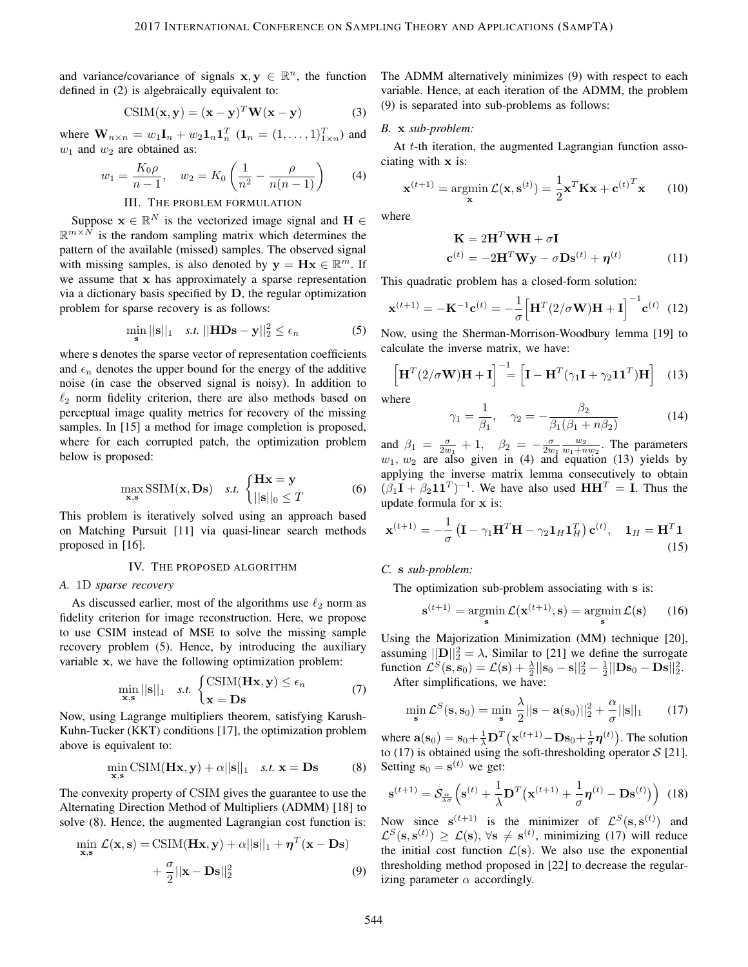and variance/covariance of signals  $\mathbf{x}, \mathbf{y} \in \mathbb{R}^n$ , the function defined in (2) is algebraically equivalent to:

$$
CSIM(\mathbf{x}, \mathbf{y}) = (\mathbf{x} - \mathbf{y})^T \mathbf{W} (\mathbf{x} - \mathbf{y})
$$
 (3)

where  $\mathbf{W}_{n \times n} = w_1 \mathbf{I}_n + w_2 \mathbf{1}_n \mathbf{1}_n^T$   $(\mathbf{1}_n = (1, ..., 1)_{1 \times n}^T)$  and  $w_1$  and  $w_2$  are obtained as:

$$
w_1 = \frac{K_0 \rho}{n - 1}, \quad w_2 = K_0 \left(\frac{1}{n^2} - \frac{\rho}{n(n - 1)}\right) \tag{4}
$$

# III. THE PROBLEM FORMULATION

Suppose  $\mathbf{x} \in \mathbb{R}^N$  is the vectorized image signal and  $\mathbf{H} \in$  $\mathbb{R}^{m \times N}$  is the random sampling matrix which determines the pattern of the available (missed) samples. The observed signal with missing samples, is also denoted by  $y = Hx \in \mathbb{R}^m$ . If we assume that x has approximately a sparse representation via a dictionary basis specified by D, the regular optimization problem for sparse recovery is as follows:

$$
\min_{\mathbf{s}} ||\mathbf{s}||_1 \quad \text{s.t. } ||\mathbf{H}\mathbf{D}\mathbf{s} - \mathbf{y}||_2^2 \le \epsilon_n \tag{5}
$$

where s denotes the sparse vector of representation coefficients and  $\epsilon_n$  denotes the upper bound for the energy of the additive noise (in case the observed signal is noisy). In addition to  $\ell_2$  norm fidelity criterion, there are also methods based on perceptual image quality metrics for recovery of the missing samples. In [15] a method for image completion is proposed, where for each corrupted patch, the optimization problem below is proposed:

$$
\max_{\mathbf{x}, \mathbf{s}} \text{SSIM}(\mathbf{x}, \mathbf{D}\mathbf{s}) \quad \text{s.t.} \begin{cases} \mathbf{H}\mathbf{x} = \mathbf{y} \\ ||\mathbf{s}||_0 \le T \end{cases} \tag{6}
$$

This problem is iteratively solved using an approach based on Matching Pursuit [11] via quasi-linear search methods proposed in [16].

#### IV. THE PROPOSED ALGORITHM

#### *A.* 1D *sparse recovery*

As discussed earlier, most of the algorithms use  $\ell_2$  norm as fidelity criterion for image reconstruction. Here, we propose to use CSIM instead of MSE to solve the missing sample recovery problem (5). Hence, by introducing the auxiliary variable x, we have the following optimization problem:

$$
\min_{\mathbf{x}, \mathbf{s}} ||\mathbf{s}||_1 \quad s.t. \begin{cases} \text{CSIM}(\mathbf{H}\mathbf{x}, \mathbf{y}) \le \epsilon_n \\ \mathbf{x} = \mathbf{D}\mathbf{s} \end{cases} \tag{7}
$$

Now, using Lagrange multipliers theorem, satisfying Karush-Kuhn-Tucker (KKT) conditions [17], the optimization problem above is equivalent to:

$$
\min_{\mathbf{x}, \mathbf{s}} \text{CSIM}(\mathbf{H}\mathbf{x}, \mathbf{y}) + \alpha ||\mathbf{s}||_1 \quad \text{s.t. } \mathbf{x} = \mathbf{D}\mathbf{s} \tag{8}
$$

The convexity property of CSIM gives the guarantee to use the Alternating Direction Method of Multipliers (ADMM) [18] to solve (8). Hence, the augmented Lagrangian cost function is:

$$
\min_{\mathbf{x}, \mathbf{s}} \mathcal{L}(\mathbf{x}, \mathbf{s}) = \text{CSIM}(\mathbf{H}\mathbf{x}, \mathbf{y}) + \alpha ||\mathbf{s}||_1 + \eta^T (\mathbf{x} - \mathbf{D}\mathbf{s}) + \frac{\sigma}{2} ||\mathbf{x} - \mathbf{D}\mathbf{s}||_2^2
$$
 (9)

The ADMM alternatively minimizes (9) with respect to each variable. Hence, at each iteration of the ADMM, the problem (9) is separated into sub-problems as follows:

## *B.* x *sub-problem:*

At t-th iteration, the augmented Lagrangian function associating with x is:

$$
\mathbf{x}^{(t+1)} = \operatorname*{argmin}_{\mathbf{x}} \mathcal{L}(\mathbf{x}, \mathbf{s}^{(t)}) = \frac{1}{2} \mathbf{x}^T \mathbf{K} \mathbf{x} + \mathbf{c}^{(t)}^T \mathbf{x}
$$
 (10)

where

$$
\mathbf{K} = 2\mathbf{H}^T \mathbf{W} \mathbf{H} + \sigma \mathbf{I}
$$

$$
\mathbf{c}^{(t)} = -2\mathbf{H}^T \mathbf{W} \mathbf{y} - \sigma \mathbf{D} \mathbf{s}^{(t)} + \boldsymbol{\eta}^{(t)}
$$
(11)

This quadratic problem has a closed-form solution:

$$
\mathbf{x}^{(t+1)} = -\mathbf{K}^{-1}\mathbf{c}^{(t)} = -\frac{1}{\sigma} \Big[ \mathbf{H}^T (2/\sigma \mathbf{W}) \mathbf{H} + \mathbf{I} \Big]^{-1} \mathbf{c}^{(t)} \tag{12}
$$

Now, using the Sherman-Morrison-Woodbury lemma [19] to calculate the inverse matrix, we have:

$$
\left[\mathbf{H}^{T}(2/\sigma\mathbf{W})\mathbf{H}+\mathbf{I}\right]^{-1}=\left[\mathbf{I}-\mathbf{H}^{T}(\gamma_{1}\mathbf{I}+\gamma_{2}\mathbf{1}\mathbf{1}^{T})\mathbf{H}\right]
$$
 (13)

where

$$
\gamma_1 = \frac{1}{\beta_1}, \quad \gamma_2 = -\frac{\beta_2}{\beta_1(\beta_1 + n\beta_2)}\tag{14}
$$

and  $\beta_1 = \frac{\sigma}{2w_1} + 1$ ,  $\beta_2 = -\frac{\sigma}{2w_1} \frac{w_2}{w_1 + n w_2}$ . The parameters  $w_1, w_2$  are also given in (4) and equation (13) yields by applying the inverse matrix lemma consecutively to obtain  $(\beta_1 I + \beta_2 11^T)^{-1}$ . We have also used  $HH^T = I$ . Thus the update formula for x is:

$$
\mathbf{x}^{(t+1)} = -\frac{1}{\sigma} \left( \mathbf{I} - \gamma_1 \mathbf{H}^T \mathbf{H} - \gamma_2 \mathbf{1}_H \mathbf{1}_H^T \right) \mathbf{c}^{(t)}, \quad \mathbf{1}_H = \mathbf{H}^T \mathbf{1}
$$
\n(15)

*C.* s *sub-problem:*

The optimization sub-problem associating with s is:

$$
\mathbf{s}^{(t+1)} = \operatorname*{argmin}_{\mathbf{s}} \mathcal{L}(\mathbf{x}^{(t+1)}, \mathbf{s}) = \operatorname*{argmin}_{\mathbf{s}} \mathcal{L}(\mathbf{s}) \qquad (16)
$$

Using the Majorization Minimization (MM) technique [20], assuming  $||\mathbf{D}||_2^2 = \lambda$ , Similar to [21] we define the surrogate function  $\mathcal{L}^{S}(\mathbf{s}, \mathbf{s}_0) = \mathcal{L}(\mathbf{s}) + \frac{\lambda}{2} ||\mathbf{s}_0 - \mathbf{s}||_2^2 - \frac{1}{2} ||\mathbf{D} \mathbf{s}_0 - \mathbf{D} \mathbf{s}||_2^2$ . After simplifications, we have:

λ α

$$
\min_{\mathbf{s}} \mathcal{L}^S(\mathbf{s}, \mathbf{s}_0) = \min_{\mathbf{s}} \frac{\lambda}{2} ||\mathbf{s} - \mathbf{a}(\mathbf{s}_0)||_2^2 + \frac{\alpha}{\sigma} ||\mathbf{s}||_1 \qquad (17)
$$

where  $\mathbf{a}(\mathbf{s}_0) = \mathbf{s}_0 + \frac{1}{\lambda} \mathbf{D}^T (\mathbf{x}^{(t+1)} - \mathbf{D} \mathbf{s}_0 + \frac{1}{\sigma} \boldsymbol{\eta}^{(t)})$ . The solution to (17) is obtained using the soft-thresholding operator  $S$  [21]. Setting  $\mathbf{s}_0 = \mathbf{s}^{(t)}$  we get:

$$
\mathbf{s}^{(t+1)} = \mathcal{S}_{\frac{\alpha}{\lambda \sigma}} \left( \mathbf{s}^{(t)} + \frac{1}{\lambda} \mathbf{D}^T \left( \mathbf{x}^{(t+1)} + \frac{1}{\sigma} \boldsymbol{\eta}^{(t)} - \mathbf{D} \mathbf{s}^{(t)} \right) \right)
$$
(18)

Now since  $s^{(t+1)}$  is the minimizer of  $\mathcal{L}^{S}(s, s^{(t)})$  and  $\mathcal{L}^{S}(\mathbf{s}, \mathbf{s}^{(t)}) \geq \mathcal{L}(\mathbf{s}), \forall \mathbf{s} \neq \mathbf{s}^{(t)},$  minimizing (17) will reduce the initial cost function  $\mathcal{L}(s)$ . We also use the exponential thresholding method proposed in [22] to decrease the regularizing parameter  $\alpha$  accordingly.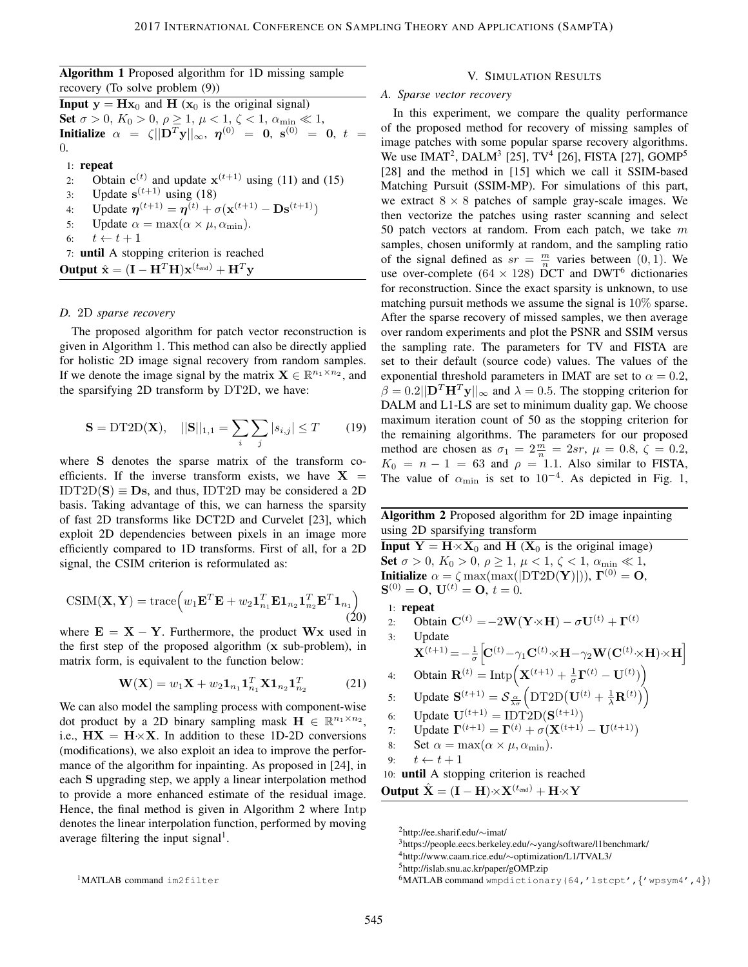| <b>Algorithm 1</b> Proposed algorithm for 1D missing sample |  |  |  |
|-------------------------------------------------------------|--|--|--|
| recovery (To solve problem $(9)$ )                          |  |  |  |

**Input**  $y = Hx_0$  and H ( $x_0$  is the original signal) Set  $\sigma > 0$ ,  $K_0 > 0$ ,  $\rho \ge 1$ ,  $\mu < 1$ ,  $\zeta < 1$ ,  $\alpha_{\min} \ll 1$ , **Initialize**  $\alpha = \zeta \|\mathbf{D}^T \mathbf{y}\|_{\infty}, \; \pmb{\eta}^{(0)} = \mathbf{0}, \; \mathbf{s}^{(0)} = \mathbf{0}, \; t =$ 0.

1: repeat

2: Obtain  $c^{(t)}$  and update  $x^{(t+1)}$  using (11) and (15) 3: Update  $s^{(t+1)}$  using (18) 4: Update  $\eta^{(t+1)} = \eta^{(t)} + \sigma(\mathbf{x}^{(t+1)} - \mathbf{Ds}^{(t+1)})$ 5: Update  $\alpha = \max(\alpha \times \mu, \alpha_{\min}).$ <br>6:  $t \leftarrow t + 1$  $t \leftarrow t + 1$ 7: until A stopping criterion is reached **Output**  $\hat{\mathbf{x}} = (\mathbf{I} - \mathbf{H}^T \mathbf{H}) \mathbf{x}^{(t_{\text{end}})} + \mathbf{H}^T \mathbf{y}$ 

#### *D.* 2D *sparse recovery*

The proposed algorithm for patch vector reconstruction is given in Algorithm 1. This method can also be directly applied for holistic 2D image signal recovery from random samples. If we denote the image signal by the matrix  $\mathbf{X} \in \mathbb{R}^{n_1 \times n_2}$ , and the sparsifying 2D transform by DT2D, we have:

$$
\mathbf{S} = \text{DT2D}(\mathbf{X}), \quad ||\mathbf{S}||_{1,1} = \sum_{i} \sum_{j} |s_{i,j}| \le T \tag{19}
$$

where S denotes the sparse matrix of the transform coefficients. If the inverse transform exists, we have  $X$  $IDT2D(S) \equiv Ds$ , and thus,  $IDT2D$  may be considered a 2D basis. Taking advantage of this, we can harness the sparsity of fast 2D transforms like DCT2D and Curvelet [23], which exploit 2D dependencies between pixels in an image more efficiently compared to 1D transforms. First of all, for a 2D signal, the CSIM criterion is reformulated as:

$$
CSIM(\mathbf{X}, \mathbf{Y}) = \text{trace}\left(w_1 \mathbf{E}^T \mathbf{E} + w_2 \mathbf{1}_{n_1}^T \mathbf{E} \mathbf{1}_{n_2} \mathbf{1}_{n_2}^T \mathbf{E}^T \mathbf{1}_{n_1}\right)
$$
(20)

where  $E = X - Y$ . Furthermore, the product Wx used in the first step of the proposed algorithm (x sub-problem), in matrix form, is equivalent to the function below:

$$
\mathbf{W}(\mathbf{X}) = w_1 \mathbf{X} + w_2 \mathbf{1}_{n_1} \mathbf{1}_{n_1}^T \mathbf{X} \mathbf{1}_{n_2} \mathbf{1}_{n_2}^T
$$
 (21)

We can also model the sampling process with component-wise dot product by a 2D binary sampling mask  $\mathbf{H} \in \mathbb{R}^{n_1 \times n_2}$ , i.e.,  $HX = H \times X$ . In addition to these 1D-2D conversions (modifications), we also exploit an idea to improve the performance of the algorithm for inpainting. As proposed in [24], in each S upgrading step, we apply a linear interpolation method to provide a more enhanced estimate of the residual image. Hence, the final method is given in Algorithm 2 where Intp denotes the linear interpolation function, performed by moving average filtering the input signal<sup>1</sup>.

#### V. SIMULATION RESULTS

## *A. Sparse vector recovery*

In this experiment, we compare the quality performance of the proposed method for recovery of missing samples of image patches with some popular sparse recovery algorithms. We use IMAT<sup>2</sup>, DALM<sup>3</sup> [25], TV<sup>4</sup> [26], FISTA [27], GOMP<sup>5</sup> [28] and the method in [15] which we call it SSIM-based Matching Pursuit (SSIM-MP). For simulations of this part, we extract  $8 \times 8$  patches of sample gray-scale images. We then vectorize the patches using raster scanning and select 50 patch vectors at random. From each patch, we take  $m$ samples, chosen uniformly at random, and the sampling ratio of the signal defined as  $sr = \frac{m}{n}$  varies between (0, 1). We use over-complete (64  $\times$  128) DCT and DWT<sup>6</sup> dictionaries for reconstruction. Since the exact sparsity is unknown, to use matching pursuit methods we assume the signal is 10% sparse. After the sparse recovery of missed samples, we then average over random experiments and plot the PSNR and SSIM versus the sampling rate. The parameters for TV and FISTA are set to their default (source code) values. The values of the exponential threshold parameters in IMAT are set to  $\alpha = 0.2$ ,  $\beta = 0.2||\mathbf{D}^T \mathbf{H}^T \mathbf{y}||_{\infty}$  and  $\lambda = 0.5$ . The stopping criterion for DALM and L1-LS are set to minimum duality gap. We choose maximum iteration count of 50 as the stopping criterion for the remaining algorithms. The parameters for our proposed method are chosen as  $\sigma_1 = 2\frac{m}{n} = 2sr$ ,  $\mu = 0.8$ ,  $\zeta = 0.2$ ,  $K_0 = n - 1 = 63$  and  $\rho = 1.1$ . Also similar to FISTA, The value of  $\alpha_{\min}$  is set to 10<sup>-4</sup>. As depicted in Fig. 1,

## Algorithm 2 Proposed algorithm for 2D image inpainting using 2D sparsifying transform

**Input**  $Y = H \times X_0$  and H ( $X_0$  is the original image) Set  $\sigma > 0$ ,  $K_0 > 0$ ,  $\rho \ge 1$ ,  $\mu < 1$ ,  $\zeta < 1$ ,  $\alpha_{\min} \ll 1$ , **Initialize**  $\alpha = \zeta \max(\max(|\text{DT2D}(\mathbf{Y})|)), \mathbf{\Gamma}^{(0)} = \mathbf{O},$  $S^{(0)} = O, U^{(t)} = O, t = 0.$ 1: repeat

2: Obtain  $\mathbf{C}^{(t)} = -2\mathbf{W}(\mathbf{Y} \times \mathbf{H}) - \sigma \mathbf{U}^{(t)} + \mathbf{\Gamma}^{(t)}$ 3: Update  ${\bf X}^{(t+1)} = -\frac{1}{\sigma}$  $\left[\!\mathbf{C}^{(t)}\!-\!\gamma_1\mathbf{C}^{(t)}\!\times\!\mathbf{H}\!-\!\gamma_2\mathbf{W}(\mathbf{C}^{(t)}\!\times\!\mathbf{H})\!\times\!\mathbf{H}\right]$ 4: Obtain  $\mathbf{R}^{(t)} = \text{Intp}\Big(\mathbf{X}^{(t+1)} + \frac{1}{\sigma}\mathbf{\Gamma}^{(t)} - \mathbf{U}^{(t)}\Big)\Big)$ 5: Update  $\mathbf{S}^{(t+1)} = \mathcal{S}_{\frac{\alpha}{\lambda\sigma}}\left(\text{DT2D}(\mathbf{U}^{(t)} + \frac{1}{\lambda}\mathbf{R}^{(t)})\right)$ 6: Update  $U^{(t+1)} = \text{IDT2D}(S^{(t+1)})$ 

7: Update 
$$
\Gamma^{(t+1)} = \Gamma^{(t)} + \sigma(\mathbf{X}^{(t+1)} - \mathbf{U}^{(t+1)})
$$

8: Set 
$$
\alpha = \max(\alpha \times \mu, \alpha_{\min}).
$$

9: 
$$
t \leftarrow t + 1
$$

10: until A stopping criterion is reached **Output**  $\hat{\mathbf{X}} = (\mathbf{I} - \mathbf{H}) \times \mathbf{X}^{(t_{\text{end}})} + \mathbf{H} \times \mathbf{Y}$ 

<sup>2</sup>http://ee.sharif.edu/∼imat/

<sup>3</sup>https://people.eecs.berkeley.edu/∼yang/software/l1benchmark/

<sup>4</sup>http://www.caam.rice.edu/∼optimization/L1/TVAL3/

<sup>5</sup>http://islab.snu.ac.kr/paper/gOMP.zip

<sup>6</sup>MATLAB command wmpdictionary(64,'lstcpt',{'wpsym4',4})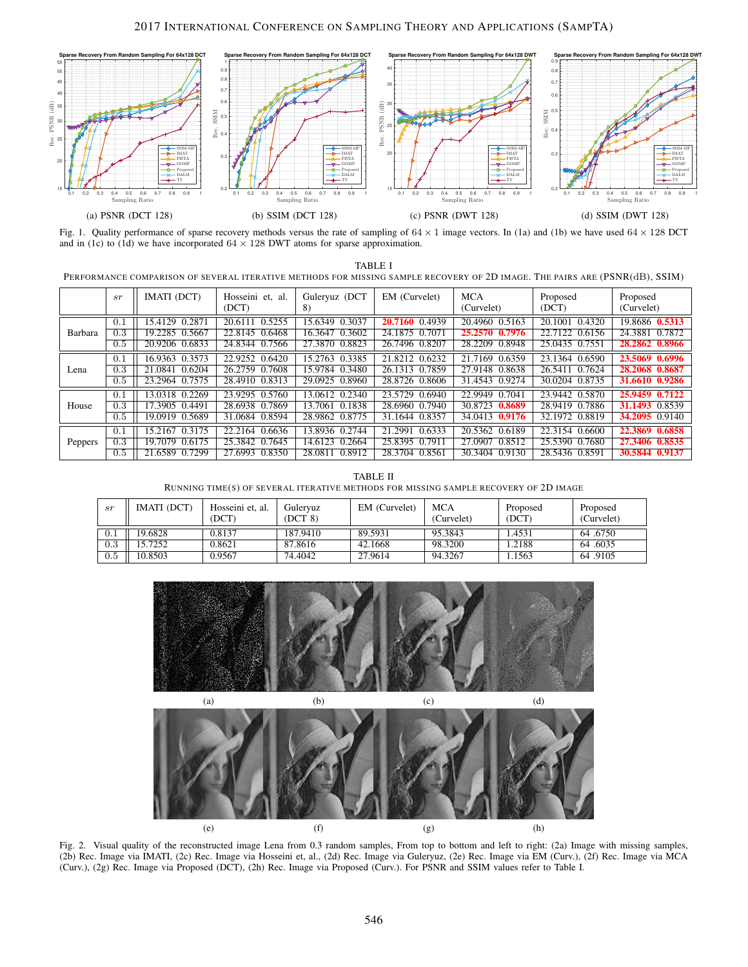## 2017 INTERNATIONAL CONFERENCE ON SAMPLING THEORY AND APPLICATIONS (SAMPTA)



Fig. 1. Quality performance of sparse recovery methods versus the rate of sampling of  $64 \times 1$  image vectors. In (1a) and (1b) we have used  $64 \times 128$  DCT and in (1c) to (1d) we have incorporated  $64 \times 128$  DWT atoms for sparse approximation.

| TABLE                                                                                                                       |  |
|-----------------------------------------------------------------------------------------------------------------------------|--|
| PERFORMANCE COMPARISON OF SEVERAL ITERATIVE METHODS FOR MISSING SAMPLE RECOVERY OF 2D IMAGE. THE PAIRS ARE (PSNR(dB), SSIM) |  |

|         | sr  | IMATI (DCT)       | Hosseini et, al.<br>(DCT) | Guleryuz (DCT<br>8) | EM (Curvelet)     | <b>MCA</b><br>(Curvelet) | Proposed<br>(DCT) | Proposed<br>(Curvelet) |
|---------|-----|-------------------|---------------------------|---------------------|-------------------|--------------------------|-------------------|------------------------|
| Barbara | 0.1 | 15.4129 0.2871    | 20.6111 0.5255            | 15.6349 0.3037      | 0.4939<br>20.7160 | 20.4960 0.5163           | 20.1001 0.4320    | 19.8686 0.5313         |
|         | 0.3 | 19.2285<br>0.5667 | 22.8145 0.6468            | 16.3647 0.3602      | 24.1875 0.7071    | 25,2570<br>0.7976        | 22.7122 0.6156    | 24.3881<br>0.7872      |
|         | 0.5 | 20.9206 0.6833    | 24.8344 0.7566            | 27.3870 0.8823      | 26.7496 0.8207    | 28.2209 0.8948           | 25.0435 0.7551    | 28.2862 0.8966         |
| Lena    | 0.1 | 16.9363 0.3573    | 22.9252 0.6420            | 15.2763<br>0.3385   | 21.8212 0.6232    | 21.7169 0.6359           | 23.1364 0.6590    | 23.5069 0.6996         |
|         | 0.3 | 0.6204<br>21.0841 | 26.2759 0.7608            | 15.9784 0.3480      | 26.1313 0.7859    | 27.9148 0.8638           | 26.5411 0.7624    | 28.2068 0.8687         |
|         | 0.5 | 23.2964 0.7575    | 28.4910 0.8313            | 29.0925 0.8960      | 28.8726 0.8606    | 31.4543 0.9274           | 30.0204 0.8735    | 31.6610 0.9286         |
| House   | 0.1 | 13.0318 0.2269    | 23.9295 0.5760            | 13.0612 0.2340      | 23.5729<br>0.6940 | 22.9949<br>0.7041        | 23.9442 0.5870    | 25.9459 0.7122         |
|         | 0.3 | 17.3905 0.4491    | 28.6938 0.7869            | 13.7061 0.1838      | 28.6960 0.7940    | 30.8723<br>0.8689        | 28.9419 0.7886    | <b>31.1493</b> 0.8539  |
|         | 0.5 | 19.0919 0.5689    | 31.0684 0.8594            | 28.9862 0.8775      | 31.1644 0.8357    | 34.0413 0.9176           | 32.1972 0.8819    | <b>34.2095</b> 0.9140  |
| Peppers | 0.1 | 0.3175<br>15.2167 | 22.2164 0.6636            | 13.8936 0.2744      | 0.6333<br>21.2991 | 20.5362 0.6189           | 22.3154 0.6600    | 22.3869 0.6858         |
|         | 0.3 | 0.6175<br>19.7079 | 25.3842 0.7645            | 14.6123 0.2664      | 0.7911<br>25.8395 | 0.8512<br>27.0907        | 25.5390 0.7680    | 27.3406 0.8535         |
|         | 0.5 | 21.6589 0.7299    | 27.6993 0.8350            | 28.0811 0.8912      | 28.3704 0.8561    | 30.3404 0.9130           | 28.5436 0.8591    | 30.5844 0.9137         |

TABLE II RUNNING TIME(S) OF SEVERAL ITERATIVE METHODS FOR MISSING SAMPLE RECOVERY OF 2D IMAGE

| sr      | IMATI (DCT) | Hosseini et. al.<br>(DCT | Gulervuz<br>(DCT 8) | EM (Curvelet) | <b>MCA</b><br>(Curvelet) | Proposed<br>(DCT) | Proposed<br>(Curvelet) |
|---------|-------------|--------------------------|---------------------|---------------|--------------------------|-------------------|------------------------|
| U.I     | 19.6828     | 0.8137                   | 187.9410            | 89.5931       | 95.3843                  | .4531             | 64.6750                |
| $0.3\,$ | 5.7252      | 0.8621                   | 87.8616             | 42.1668       | 98.3200                  | .2188             | 64.6035                |
| 0.5     | 10.8503     | 0.9567                   | 74.4042             | 27.9614       | 94.3267                  | .1563             | 64.9105                |





Fig. 2. Visual quality of the reconstructed image Lena from 0.3 random samples, From top to bottom and left to right: (2a) Image with missing samples, (2b) Rec. Image via IMATI, (2c) Rec. Image via Hosseini et, al., (2d) Rec. Image via Guleryuz, (2e) Rec. Image via EM (Curv.), (2f) Rec. Image via MCA (Curv.), (2g) Rec. Image via Proposed (DCT), (2h) Rec. Image via Proposed (Curv.). For PSNR and SSIM values refer to Table I.